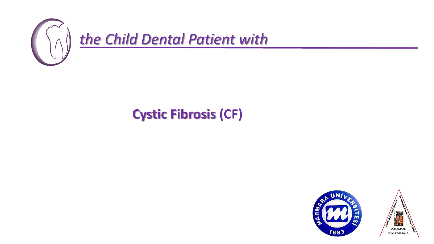

## **Cystic Fibrosis (CF)**

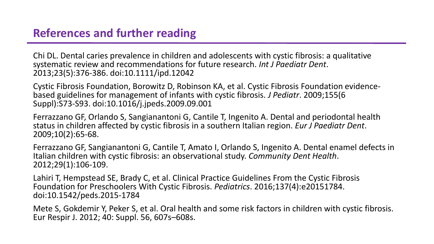## **References and further reading**

Chi DL. Dental caries prevalence in children and adolescents with cystic fibrosis: a qualitative systematic review and recommendations for future research. *Int J Paediatr Dent*. 2013;23(5):376‐386. doi:10.1111/ipd.12042

Cystic Fibrosis Foundation, Borowitz D, Robinson KA, et al. Cystic Fibrosis Foundation evidencebased guidelines for management of infants with cystic fibrosis. *J Pediatr*. 2009;155(6 Suppl):S73‐S93. doi:10.1016/j.jpeds.2009.09.001

Ferrazzano GF, Orlando S, Sangianantoni G, Cantile T, Ingenito A. Dental and periodontal health status in children affected by cystic fibrosis in a southern Italian region. *Eur J Paediatr Dent*. 2009;10(2):65‐68.

Ferrazzano GF, Sangianantoni G, Cantile T, Amato I, Orlando S, Ingenito A. Dental enamel defects in Italian children with cystic fibrosis: an observational study. *Community Dent Health*. 2012;29(1):106‐109.

Lahiri T, Hempstead SE, Brady C, et al. Clinical Practice Guidelines From the Cystic Fibrosis Foundation for Preschoolers With Cystic Fibrosis. *Pediatrics*. 2016;137(4):e20151784. doi:10.1542/peds.2015-1784

Mete S, Gokdemir Y, Peker S, et al. Oral health and some risk factors in children with cystic fibrosis. Eur Respir J. 2012; 40: Suppl. 56, 607s–608s.